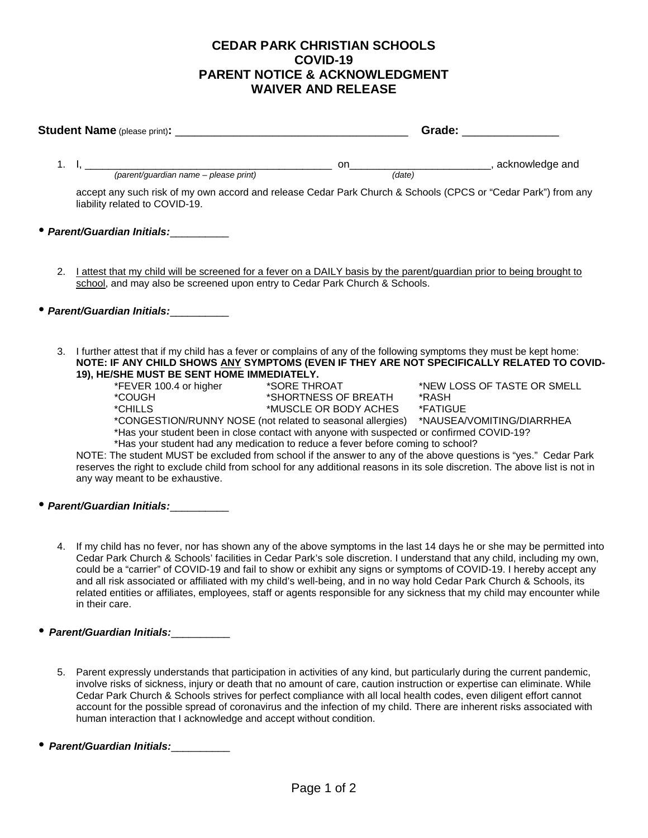## **CEDAR PARK CHRISTIAN SCHOOLS COVID-19 PARENT NOTICE & ACKNOWLEDGMENT WAIVER AND RELEASE**

|  |                                                                                                                                                                                                                                                                    |                                                                                                                                                                                                                | Grade: The Contract of the Contract of the Contract of the Contract of the Contract of the Contract of the Contract of the Contract of the Contract of the Contract of the Contract of the Contract of the Contract of the Con                 |  |
|--|--------------------------------------------------------------------------------------------------------------------------------------------------------------------------------------------------------------------------------------------------------------------|----------------------------------------------------------------------------------------------------------------------------------------------------------------------------------------------------------------|------------------------------------------------------------------------------------------------------------------------------------------------------------------------------------------------------------------------------------------------|--|
|  |                                                                                                                                                                                                                                                                    |                                                                                                                                                                                                                |                                                                                                                                                                                                                                                |  |
|  |                                                                                                                                                                                                                                                                    |                                                                                                                                                                                                                |                                                                                                                                                                                                                                                |  |
|  | accept any such risk of my own accord and release Cedar Park Church & Schools (CPCS or "Cedar Park") from any<br>liability related to COVID-19.                                                                                                                    |                                                                                                                                                                                                                |                                                                                                                                                                                                                                                |  |
|  | • Parent/Guardian Initials:                                                                                                                                                                                                                                        |                                                                                                                                                                                                                |                                                                                                                                                                                                                                                |  |
|  | 2. Lattest that my child will be screened for a fever on a DAILY basis by the parent/quardian prior to being brought to<br>school, and may also be screened upon entry to Cedar Park Church & Schools.                                                             |                                                                                                                                                                                                                |                                                                                                                                                                                                                                                |  |
|  | • Parent/Guardian Initials:                                                                                                                                                                                                                                        |                                                                                                                                                                                                                |                                                                                                                                                                                                                                                |  |
|  | 3. I further attest that if my child has a fever or complains of any of the following symptoms they must be kept home:<br>NOTE: IF ANY CHILD SHOWS ANY SYMPTOMS (EVEN IF THEY ARE NOT SPECIFICALLY RELATED TO COVID-<br>19), HE/SHE MUST BE SENT HOME IMMEDIATELY. |                                                                                                                                                                                                                |                                                                                                                                                                                                                                                |  |
|  | *COUGH <b>ACCOUNTER</b>                                                                                                                                                                                                                                            | *SHORTNESS OF BREATH *RASH                                                                                                                                                                                     | *FEVER 100.4 or higher *SORE THROAT *NEW LOSS OF TASTE OR SMELL                                                                                                                                                                                |  |
|  | *CHILLS AND AN ANN AN AN AN AN AIRCR                                                                                                                                                                                                                               | *MUSCLE OR BODY ACHES *FATIGUE<br>*Has your student been in close contact with anyone with suspected or confirmed COVID-19?<br>*Has your student had any medication to reduce a fever before coming to school? | *CONGESTION/RUNNY NOSE (not related to seasonal allergies) *NAUSEA/VOMITING/DIARRHEA                                                                                                                                                           |  |
|  | any way meant to be exhaustive.                                                                                                                                                                                                                                    |                                                                                                                                                                                                                | NOTE: The student MUST be excluded from school if the answer to any of the above questions is "yes." Cedar Park<br>reserves the right to exclude child from school for any additional reasons in its sole discretion. The above list is not in |  |
|  | • Parent/Guardian Initials:                                                                                                                                                                                                                                        |                                                                                                                                                                                                                |                                                                                                                                                                                                                                                |  |

- 4. If my child has no fever, nor has shown any of the above symptoms in the last 14 days he or she may be permitted into Cedar Park Church & Schools' facilities in Cedar Park's sole discretion. I understand that any child, including my own, could be a "carrier" of COVID-19 and fail to show or exhibit any signs or symptoms of COVID-19. I hereby accept any and all risk associated or affiliated with my child's well-being, and in no way hold Cedar Park Church & Schools, its related entities or affiliates, employees, staff or agents responsible for any sickness that my child may encounter while in their care.
- *Parent/Guardian Initials:*\_\_\_\_\_\_\_\_\_\_
	- 5. Parent expressly understands that participation in activities of any kind, but particularly during the current pandemic, involve risks of sickness, injury or death that no amount of care, caution instruction or expertise can eliminate. While Cedar Park Church & Schools strives for perfect compliance with all local health codes, even diligent effort cannot account for the possible spread of coronavirus and the infection of my child. There are inherent risks associated with human interaction that I acknowledge and accept without condition.
- *Parent/Guardian Initials:*\_\_\_\_\_\_\_\_\_\_